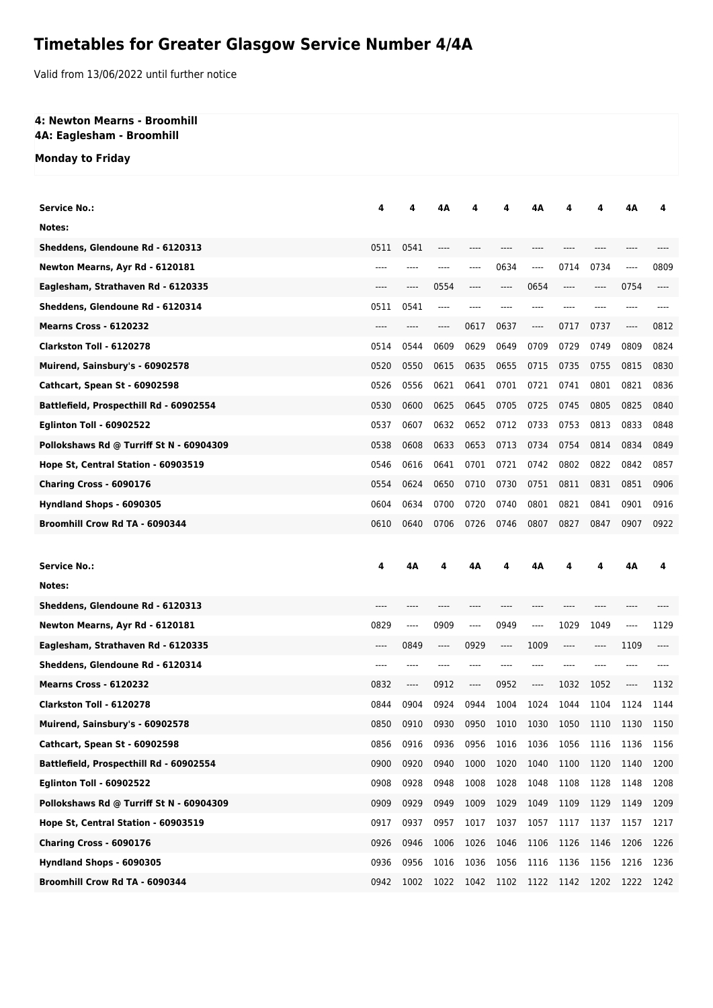# **Timetables for Greater Glasgow Service Number 4/4A**

Valid from 13/06/2022 until further notice

#### **4: Newton Mearns - Broomhill 4A: Eaglesham - Broomhill**

### **Monday to Friday**

| <b>Service No.:</b>                      | 4    | 4    | 4Α      |      |      | 4Α      |      |      |          | Δ    |
|------------------------------------------|------|------|---------|------|------|---------|------|------|----------|------|
| Notes:                                   |      |      |         |      |      |         |      |      |          |      |
| Sheddens, Glendoune Rd - 6120313         | 0511 | 0541 |         |      |      |         |      |      |          |      |
| Newton Mearns, Ayr Rd - 6120181          |      |      |         | ---- | 0634 | $---$   | 0714 | 0734 | ----     | 0809 |
| Eaglesham, Strathaven Rd - 6120335       | ---- | ---- | 0554    | ---- | ---- | 0654    | ---- | ---- | 0754     | ---- |
| Sheddens, Glendoune Rd - 6120314         | 0511 | 0541 | ----    |      |      | ----    | ---- |      | ----     |      |
| <b>Mearns Cross - 6120232</b>            |      |      | ----    | 0617 | 0637 | $---$   | 0717 | 0737 | $---$    | 0812 |
| Clarkston Toll - 6120278                 | 0514 | 0544 | 0609    | 0629 | 0649 | 0709    | 0729 | 0749 | 0809     | 0824 |
| Muirend, Sainsbury's - 60902578          | 0520 | 0550 | 0615    | 0635 | 0655 | 0715    | 0735 | 0755 | 0815     | 0830 |
| Cathcart, Spean St - 60902598            | 0526 | 0556 | 0621    | 0641 | 0701 | 0721    | 0741 | 0801 | 0821     | 0836 |
| Battlefield, Prospecthill Rd - 60902554  | 0530 | 0600 | 0625    | 0645 | 0705 | 0725    | 0745 | 0805 | 0825     | 0840 |
| <b>Eglinton Toll - 60902522</b>          | 0537 | 0607 | 0632    | 0652 | 0712 | 0733    | 0753 | 0813 | 0833     | 0848 |
| Pollokshaws Rd @ Turriff St N - 60904309 | 0538 | 0608 | 0633    | 0653 | 0713 | 0734    | 0754 | 0814 | 0834     | 0849 |
| Hope St, Central Station - 60903519      | 0546 | 0616 | 0641    | 0701 | 0721 | 0742    | 0802 | 0822 | 0842     | 0857 |
| <b>Charing Cross - 6090176</b>           | 0554 | 0624 | 0650    | 0710 | 0730 | 0751    | 0811 | 0831 | 0851     | 0906 |
| Hyndland Shops - 6090305                 | 0604 | 0634 | 0700    | 0720 | 0740 | 0801    | 0821 | 0841 | 0901     | 0916 |
| Broomhill Crow Rd TA - 6090344           | 0610 | 0640 | 0706    | 0726 | 0746 | 0807    | 0827 | 0847 | 0907     | 0922 |
|                                          |      |      |         |      |      |         |      |      |          |      |
|                                          |      |      |         |      |      |         |      |      |          |      |
| <b>Service No.:</b>                      | 4    | 4Α   |         | 4Α   | 4    | 4Α      | 4    | 4    | 4Α       | 4    |
| Notes:                                   |      |      |         |      |      |         |      |      |          |      |
| Sheddens, Glendoune Rd - 6120313         |      |      |         |      |      |         |      |      |          |      |
| Newton Mearns, Ayr Rd - 6120181          | 0829 | ---- | 0909    | ---- | 0949 | ----    | 1029 | 1049 | $\cdots$ | 1129 |
| Eaglesham, Strathaven Rd - 6120335       | ---- | 0849 | $-----$ | 0929 | ---- | 1009    | ---- | ---- | 1109     |      |
| Sheddens, Glendoune Rd - 6120314         |      |      |         |      |      |         |      |      |          |      |
| <b>Mearns Cross - 6120232</b>            | 0832 | ---- | 0912    | ---- | 0952 | $-----$ | 1032 | 1052 | ----     | 1132 |
| <b>Clarkston Toll - 6120278</b>          | 0844 | 0904 | 0924    | 0944 | 1004 | 1024    | 1044 | 1104 | 1124     | 1144 |
| Muirend, Sainsbury's - 60902578          | 0850 | 0910 | 0930    | 0950 | 1010 | 1030    | 1050 | 1110 | 1130     | 1150 |
| Cathcart, Spean St - 60902598            | 0856 | 0916 | 0936    | 0956 | 1016 | 1036    | 1056 | 1116 | 1136     | 1156 |
| Battlefield, Prospecthill Rd - 60902554  | 0900 | 0920 | 0940    | 1000 | 1020 | 1040    | 1100 | 1120 | 1140     | 1200 |
| <b>Eglinton Toll - 60902522</b>          | 0908 | 0928 | 0948    | 1008 | 1028 | 1048    | 1108 | 1128 | 1148     | 1208 |
| Pollokshaws Rd @ Turriff St N - 60904309 | 0909 | 0929 | 0949    | 1009 | 1029 | 1049    | 1109 | 1129 | 1149     | 1209 |
| Hope St, Central Station - 60903519      | 0917 | 0937 | 0957    | 1017 | 1037 | 1057    | 1117 | 1137 | 1157     | 1217 |
| Charing Cross - 6090176                  | 0926 | 0946 | 1006    | 1026 | 1046 | 1106    | 1126 | 1146 | 1206     | 1226 |
| Hyndland Shops - 6090305                 | 0936 | 0956 | 1016    | 1036 | 1056 | 1116    | 1136 | 1156 | 1216     | 1236 |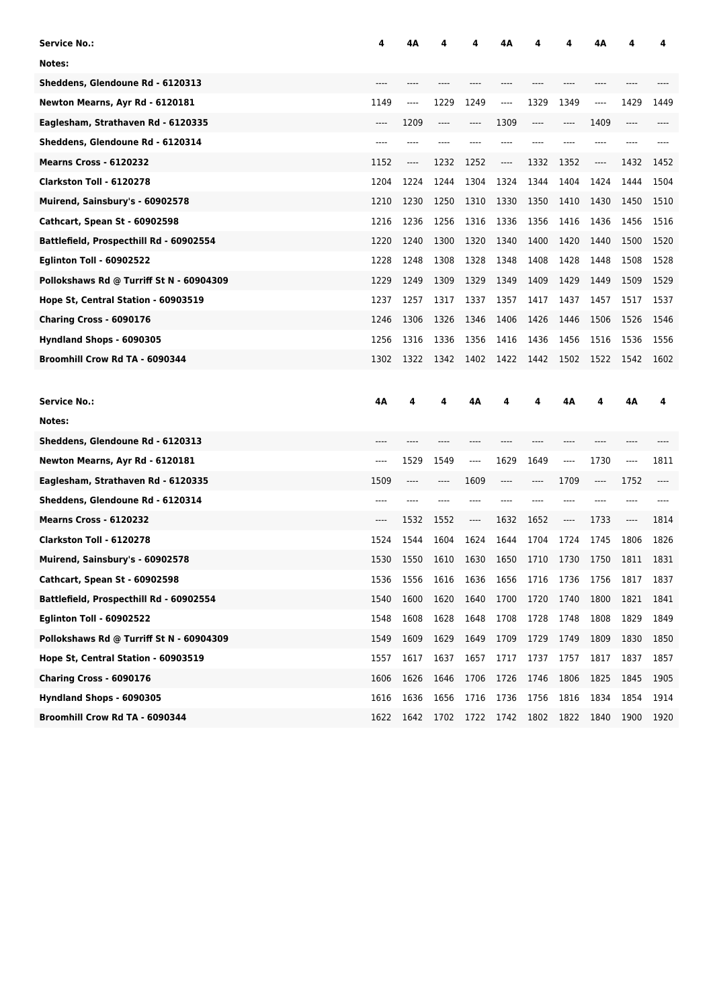| <b>Service No.:</b>                      | 4    | 4Α   |       |      | 4Α   |         |         | 4Α   |      | 4    |
|------------------------------------------|------|------|-------|------|------|---------|---------|------|------|------|
| Notes:                                   |      |      |       |      |      |         |         |      |      |      |
| Sheddens, Glendoune Rd - 6120313         |      |      |       |      |      |         |         |      |      |      |
| Newton Mearns, Ayr Rd - 6120181          | 1149 | ---- | 1229  | 1249 | ---- | 1329    | 1349    | ---- | 1429 | 1449 |
| Eaglesham, Strathaven Rd - 6120335       | ---- | 1209 | $---$ | ---- | 1309 | $-----$ | ----    | 1409 | ---- |      |
| Sheddens, Glendoune Rd - 6120314         |      |      |       |      |      |         |         |      |      |      |
| <b>Mearns Cross - 6120232</b>            | 1152 | ---- | 1232  | 1252 | ---- | 1332    | 1352    | ---- | 1432 | 1452 |
| Clarkston Toll - 6120278                 | 1204 | 1224 | 1244  | 1304 | 1324 | 1344    | 1404    | 1424 | 1444 | 1504 |
| Muirend, Sainsbury's - 60902578          | 1210 | 1230 | 1250  | 1310 | 1330 | 1350    | 1410    | 1430 | 1450 | 1510 |
| Cathcart, Spean St - 60902598            | 1216 | 1236 | 1256  | 1316 | 1336 | 1356    | 1416    | 1436 | 1456 | 1516 |
| Battlefield, Prospecthill Rd - 60902554  | 1220 | 1240 | 1300  | 1320 | 1340 | 1400    | 1420    | 1440 | 1500 | 1520 |
| <b>Eglinton Toll - 60902522</b>          | 1228 | 1248 | 1308  | 1328 | 1348 | 1408    | 1428    | 1448 | 1508 | 1528 |
| Pollokshaws Rd @ Turriff St N - 60904309 | 1229 | 1249 | 1309  | 1329 | 1349 | 1409    | 1429    | 1449 | 1509 | 1529 |
| Hope St, Central Station - 60903519      | 1237 | 1257 | 1317  | 1337 | 1357 | 1417    | 1437    | 1457 | 1517 | 1537 |
| Charing Cross - 6090176                  | 1246 | 1306 | 1326  | 1346 | 1406 | 1426    | 1446    | 1506 | 1526 | 1546 |
| Hyndland Shops - 6090305                 | 1256 | 1316 | 1336  | 1356 | 1416 | 1436    | 1456    | 1516 | 1536 | 1556 |
| Broomhill Crow Rd TA - 6090344           | 1302 | 1322 | 1342  | 1402 | 1422 | 1442    | 1502    | 1522 | 1542 | 1602 |
|                                          |      |      |       |      |      |         |         |      |      |      |
|                                          |      |      |       |      |      |         |         |      |      |      |
| <b>Service No.:</b>                      | 4Α   | 4    | 4     | 4Α   | 4    | 4       | 4Α      | 4    | 4Α   | 4    |
| Notes:                                   |      |      |       |      |      |         |         |      |      |      |
| Sheddens, Glendoune Rd - 6120313         |      |      |       |      |      |         |         |      |      |      |
| Newton Mearns, Ayr Rd - 6120181          | ---- | 1529 | 1549  | ---- | 1629 | 1649    | ----    | 1730 | ---- | 1811 |
| Eaglesham, Strathaven Rd - 6120335       | 1509 | ---- | ----  | 1609 | ---- | ----    | 1709    | ---- | 1752 | ---- |
| Sheddens, Glendoune Rd - 6120314         | ---- |      |       |      |      |         |         |      | ---- |      |
| <b>Mearns Cross - 6120232</b>            | ---- | 1532 | 1552  | ---- | 1632 | 1652    | $-----$ | 1733 | ---- | 1814 |
| Clarkston Toll - 6120278                 | 1524 | 1544 | 1604  | 1624 | 1644 | 1704    | 1724    | 1745 | 1806 | 1826 |
| Muirend, Sainsbury's - 60902578          | 1530 | 1550 | 1610  | 1630 | 1650 | 1710    | 1730    | 1750 | 1811 | 1831 |
| Cathcart, Spean St - 60902598            | 1536 | 1556 | 1616  | 1636 | 1656 | 1716    | 1736    | 1756 | 1817 | 1837 |
| Battlefield, Prospecthill Rd - 60902554  | 1540 | 1600 | 1620  | 1640 | 1700 | 1720    | 1740    | 1800 | 1821 | 1841 |
| <b>Eglinton Toll - 60902522</b>          | 1548 | 1608 | 1628  | 1648 | 1708 | 1728    | 1748    | 1808 | 1829 | 1849 |
| Pollokshaws Rd @ Turriff St N - 60904309 | 1549 | 1609 | 1629  | 1649 | 1709 | 1729    | 1749    | 1809 | 1830 | 1850 |
| Hope St, Central Station - 60903519      | 1557 | 1617 | 1637  | 1657 | 1717 | 1737    | 1757    | 1817 | 1837 | 1857 |
| Charing Cross - 6090176                  | 1606 | 1626 | 1646  | 1706 | 1726 | 1746    | 1806    | 1825 | 1845 | 1905 |
| Hyndland Shops - 6090305                 | 1616 | 1636 | 1656  | 1716 | 1736 | 1756    | 1816    | 1834 | 1854 | 1914 |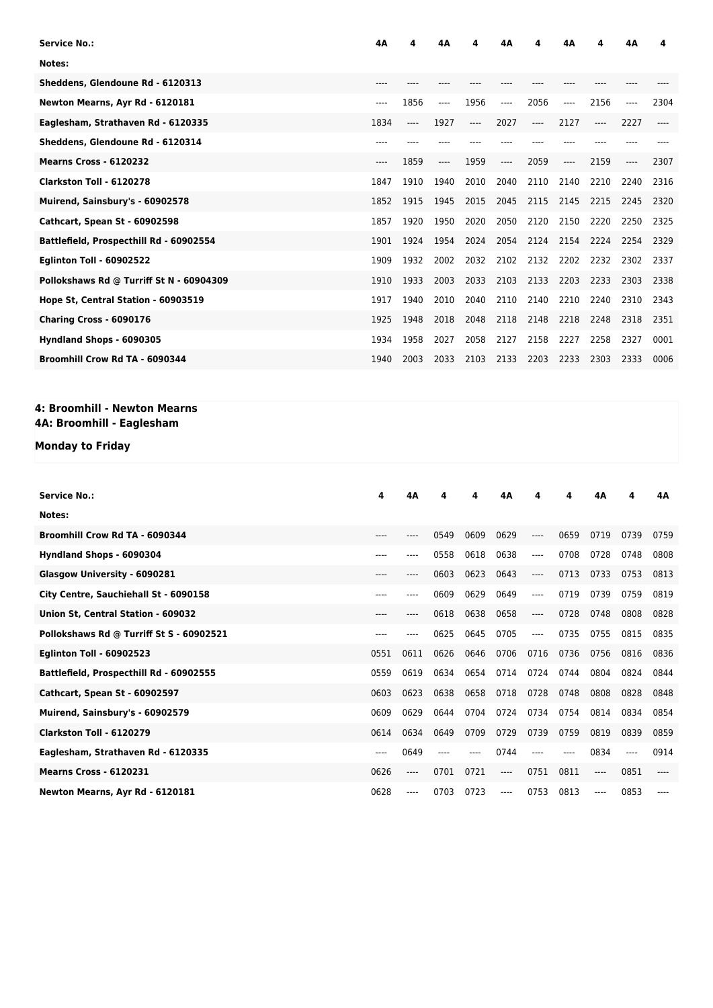| <b>Service No.:</b>                      | 4Α    | 4    | 4Δ   |      | 4Δ    | 4     | 4Α    | 4    | 4Δ   | 4    |
|------------------------------------------|-------|------|------|------|-------|-------|-------|------|------|------|
| Notes:                                   |       |      |      |      |       |       |       |      |      |      |
| Sheddens, Glendoune Rd - 6120313         | $---$ |      |      |      |       |       |       |      |      |      |
| Newton Mearns, Ayr Rd - 6120181          | ----  | 1856 | ---- | 1956 | $---$ | 2056  | $---$ | 2156 | ---- | 2304 |
| Eaglesham, Strathaven Rd - 6120335       | 1834  | ---- | 1927 | ---- | 2027  | $---$ | 2127  | ---- | 2227 |      |
| Sheddens, Glendoune Rd - 6120314         | ----  |      |      |      |       |       |       |      |      |      |
| <b>Mearns Cross - 6120232</b>            | ----  | 1859 | ---- | 1959 | $---$ | 2059  | ----  | 2159 | ---- | 2307 |
| Clarkston Toll - 6120278                 | 1847  | 1910 | 1940 | 2010 | 2040  | 2110  | 2140  | 2210 | 2240 | 2316 |
| Muirend, Sainsbury's - 60902578          | 1852  | 1915 | 1945 | 2015 | 2045  | 2115  | 2145  | 2215 | 2245 | 2320 |
| <b>Cathcart, Spean St - 60902598</b>     | 1857  | 1920 | 1950 | 2020 | 2050  | 2120  | 2150  | 2220 | 2250 | 2325 |
| Battlefield, Prospecthill Rd - 60902554  | 1901  | 1924 | 1954 | 2024 | 2054  | 2124  | 2154  | 2224 | 2254 | 2329 |
| <b>Eglinton Toll - 60902522</b>          | 1909  | 1932 | 2002 | 2032 | 2102  | 2132  | 2202  | 2232 | 2302 | 2337 |
| Pollokshaws Rd @ Turriff St N - 60904309 | 1910  | 1933 | 2003 | 2033 | 2103  | 2133  | 2203  | 2233 | 2303 | 2338 |
| Hope St, Central Station - 60903519      | 1917  | 1940 | 2010 | 2040 | 2110  | 2140  | 2210  | 2240 | 2310 | 2343 |
| Charing Cross - 6090176                  | 1925  | 1948 | 2018 | 2048 | 2118  | 2148  | 2218  | 2248 | 2318 | 2351 |
| Hyndland Shops - 6090305                 | 1934  | 1958 | 2027 | 2058 | 2127  | 2158  | 2227  | 2258 | 2327 | 0001 |
| Broomhill Crow Rd TA - 6090344           | 1940  | 2003 | 2033 | 2103 | 2133  | 2203  | 2233  | 2303 | 2333 | 0006 |

### **4: Broomhill - Newton Mearns 4A: Broomhill - Eaglesham**

## **Monday to Friday**

| Service No.:                             | 4     | 4Α   | 4    | 4    | 4Α    | 4     | 4     | 4Α   | 4    | 4A    |
|------------------------------------------|-------|------|------|------|-------|-------|-------|------|------|-------|
|                                          |       |      |      |      |       |       |       |      |      |       |
| Notes:                                   |       |      |      |      |       |       |       |      |      |       |
| Broomhill Crow Rd TA - 6090344           | ----  | ---- | 0549 | 0609 | 0629  | ----  | 0659  | 0719 | 0739 | 0759  |
| Hyndland Shops - 6090304                 | $---$ | ---- | 0558 | 0618 | 0638  | $---$ | 0708  | 0728 | 0748 | 0808  |
| Glasgow University - 6090281             | $---$ | ---- | 0603 | 0623 | 0643  | $---$ | 0713  | 0733 | 0753 | 0813  |
| City Centre, Sauchiehall St - 6090158    | ----  | ---- | 0609 | 0629 | 0649  | $---$ | 0719  | 0739 | 0759 | 0819  |
| Union St, Central Station - 609032       | $---$ | ---- | 0618 | 0638 | 0658  | $---$ | 0728  | 0748 | 0808 | 0828  |
| Pollokshaws Rd @ Turriff St S - 60902521 | $---$ |      | 0625 | 0645 | 0705  | $---$ | 0735  | 0755 | 0815 | 0835  |
| <b>Eglinton Toll - 60902523</b>          | 0551  | 0611 | 0626 | 0646 | 0706  | 0716  | 0736  | 0756 | 0816 | 0836  |
| Battlefield, Prospecthill Rd - 60902555  | 0559  | 0619 | 0634 | 0654 | 0714  | 0724  | 0744  | 0804 | 0824 | 0844  |
| <b>Cathcart, Spean St - 60902597</b>     | 0603  | 0623 | 0638 | 0658 | 0718  | 0728  | 0748  | 0808 | 0828 | 0848  |
| Muirend, Sainsbury's - 60902579          | 0609  | 0629 | 0644 | 0704 | 0724  | 0734  | 0754  | 0814 | 0834 | 0854  |
| Clarkston Toll - 6120279                 | 0614  | 0634 | 0649 | 0709 | 0729  | 0739  | 0759  | 0819 | 0839 | 0859  |
| Eaglesham, Strathaven Rd - 6120335       | ----  | 0649 |      |      | 0744  | $---$ | $---$ | 0834 |      | 0914  |
| <b>Mearns Cross - 6120231</b>            | 0626  | ---- | 0701 | 0721 | $---$ | 0751  | 0811  | ---- | 0851 | $---$ |
| Newton Mearns, Ayr Rd - 6120181          | 0628  | ---- | 0703 | 0723 | ----  | 0753  | 0813  | ---- | 0853 |       |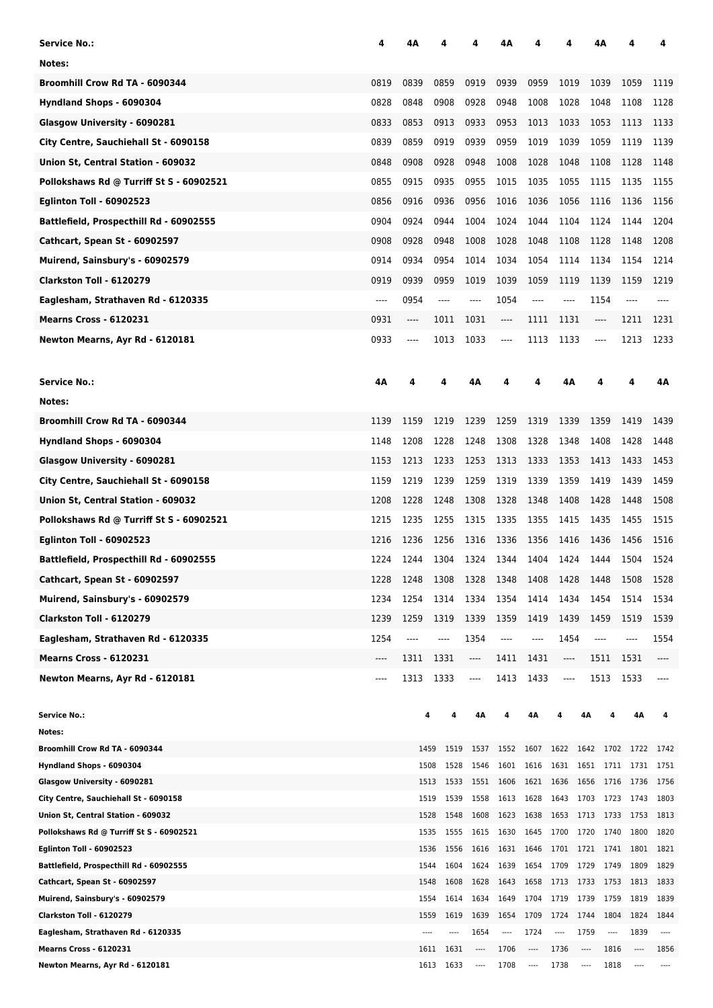| Service No.:                                                   | 4    | 4Α           |              |                          | 4Α                                 |                           |                                  |                         | 4Α                            |                               | 4               |
|----------------------------------------------------------------|------|--------------|--------------|--------------------------|------------------------------------|---------------------------|----------------------------------|-------------------------|-------------------------------|-------------------------------|-----------------|
| Notes:                                                         |      |              |              |                          |                                    |                           |                                  |                         |                               |                               |                 |
| Broomhill Crow Rd TA - 6090344                                 | 0819 | 0839         | 0859         | 0919                     | 0939                               | 0959                      | 1019                             |                         | 1039                          | 1059                          | 1119            |
| Hyndland Shops - 6090304                                       | 0828 | 0848         | 0908         | 0928                     | 0948                               | 1008                      | 1028                             |                         | 1048                          | 1108                          | 1128            |
| Glasgow University - 6090281                                   | 0833 | 0853         | 0913         | 0933                     | 0953                               | 1013                      | 1033                             |                         | 1053                          | 1113                          | 1133            |
| City Centre, Sauchiehall St - 6090158                          | 0839 | 0859         | 0919         | 0939                     | 0959                               | 1019                      | 1039                             |                         | 1059                          | 1119                          | 1139            |
| Union St, Central Station - 609032                             | 0848 | 0908         | 0928         | 0948                     | 1008                               | 1028                      | 1048                             |                         | 1108                          | 1128                          | 1148            |
| Pollokshaws Rd @ Turriff St S - 60902521                       | 0855 | 0915         | 0935         | 0955                     | 1015                               | 1035                      | 1055                             |                         | 1115                          | 1135                          | 1155            |
| <b>Eglinton Toll - 60902523</b>                                | 0856 | 0916         | 0936         | 0956                     | 1016                               | 1036                      | 1056                             |                         | 1116                          | 1136                          | 1156            |
|                                                                |      |              |              |                          |                                    |                           |                                  |                         |                               |                               |                 |
| Battlefield, Prospecthill Rd - 60902555                        | 0904 | 0924         | 0944         | 1004                     | 1024                               | 1044                      | 1104                             |                         | 1124                          | 1144                          | 1204            |
| Cathcart, Spean St - 60902597                                  | 0908 | 0928         | 0948         | 1008                     | 1028                               | 1048                      | 1108                             |                         | 1128                          | 1148                          | 1208            |
| Muirend, Sainsbury's - 60902579                                | 0914 | 0934         | 0954         | 1014                     | 1034                               | 1054                      | 1114                             |                         | 1134                          | 1154                          | 1214            |
| Clarkston Toll - 6120279                                       | 0919 | 0939         | 0959         | 1019                     | 1039                               | 1059                      | 1119                             |                         | 1139                          | 1159                          | 1219            |
| Eaglesham, Strathaven Rd - 6120335                             | ---- | 0954         | ----         | ----                     | 1054                               | $-----$                   | ----                             |                         | 1154                          | ----                          |                 |
| <b>Mearns Cross - 6120231</b>                                  | 0931 | ----         | 1011         | 1031                     | ----                               | 1111                      | 1131                             |                         | $\hspace{1.5cm} \textbf{---}$ | 1211                          | 1231            |
| Newton Mearns, Ayr Rd - 6120181                                | 0933 | ----         | 1013         | 1033                     | $-----$                            | 1113                      | 1133                             |                         | $-----$                       | 1213                          | 1233            |
| <b>Service No.:</b>                                            | 4Α   |              |              | 4Α                       |                                    |                           | 4Α                               |                         | 4                             | 4                             | 4Α              |
| Notes:                                                         |      |              |              |                          |                                    |                           |                                  |                         |                               |                               |                 |
| Broomhill Crow Rd TA - 6090344                                 | 1139 | 1159         | 1219         | 1239                     | 1259                               | 1319                      | 1339                             |                         | 1359                          | 1419                          | 1439            |
| Hyndland Shops - 6090304                                       | 1148 | 1208         | 1228         | 1248                     | 1308                               | 1328                      | 1348                             |                         | 1408                          | 1428                          | 1448            |
| Glasgow University - 6090281                                   | 1153 | 1213         | 1233         | 1253                     | 1313                               | 1333                      | 1353                             |                         | 1413                          | 1433                          | 1453            |
| City Centre, Sauchiehall St - 6090158                          | 1159 | 1219         | 1239         | 1259                     | 1319                               | 1339                      | 1359                             |                         | 1419                          | 1439                          | 1459            |
| Union St, Central Station - 609032                             | 1208 | 1228         | 1248         | 1308                     | 1328                               | 1348                      | 1408                             |                         | 1428                          | 1448                          | 1508            |
| Pollokshaws Rd @ Turriff St S - 60902521                       | 1215 | 1235         | 1255         | 1315                     | 1335                               | 1355                      | 1415                             |                         | 1435                          | 1455                          | 1515            |
| <b>Eglinton Toll - 60902523</b>                                | 1216 | 1236         | 1256         | 1316                     | 1336                               | 1356                      | 1416                             |                         | 1436                          | 1456                          | 1516            |
| Battlefield, Prospecthill Rd - 60902555                        | 1224 | 1244         | 1304         | 1324                     | 1344                               | 1404                      | 1424                             |                         | 1444                          | 1504                          | 1524            |
| Cathcart, Spean St - 60902597                                  | 1228 | 1248         | 1308         | 1328                     | 1348                               | 1408                      | 1428                             |                         | 1448                          | 1508                          | 1528            |
| Muirend, Sainsbury's - 60902579                                | 1234 | 1254         | 1314         | 1334                     | 1354                               | 1414                      | 1434                             |                         | 1454                          | 1514                          | 1534            |
| Clarkston Toll - 6120279                                       | 1239 | 1259         | 1319         | 1339                     | 1359                               | 1419                      | 1439                             |                         | 1459                          | 1519                          | 1539            |
| Eaglesham, Strathaven Rd - 6120335                             | 1254 | $---$        | ----         | 1354                     | $---$                              | ----                      | 1454                             |                         | $---$                         |                               | 1554            |
| Mearns Cross - 6120231                                         | ---- | 1311         | 1331         | $\cdots$                 | 1411                               | 1431                      | ----                             |                         | 1511                          | 1531                          | ----            |
| Newton Mearns, Ayr Rd - 6120181                                | ---- | 1313         | 1333         | ----                     | 1413                               | 1433                      | ----                             |                         | 1513                          | 1533                          |                 |
|                                                                |      |              |              |                          |                                    |                           |                                  |                         |                               |                               |                 |
| <b>Service No.:</b>                                            |      | 4            |              |                          |                                    | 4Α                        |                                  | 4Α                      |                               | 4Α                            |                 |
| Notes:                                                         |      |              |              |                          |                                    |                           |                                  |                         |                               |                               |                 |
| Broomhill Crow Rd TA - 6090344                                 |      | 1459         | 1519         | 1537                     | 1552 1607 1622 1642 1702 1722 1742 |                           |                                  |                         |                               |                               |                 |
| Hyndland Shops - 6090304<br>Glasgow University - 6090281       |      | 1508<br>1513 | 1528<br>1533 | 1546<br>1551             | 1601<br>1606                       | 1621 1636 1656 1716       | 1616 1631 1651 1711              |                         |                               | 1731<br>1736                  | 1751<br>1756    |
| City Centre, Sauchiehall St - 6090158                          |      |              | 1519<br>1539 | 1558                     | 1613                               | 1628                      | 1643 1703 1723                   |                         |                               | 1743                          | 1803            |
| Union St, Central Station - 609032                             |      | 1528         | 1548         | 1608                     | 1623                               | 1638                      | 1653                             | 1713                    | 1733                          | 1753                          | 1813            |
| Pollokshaws Rd @ Turriff St S - 60902521                       |      | 1535         | 1555         | 1615                     | 1630                               | 1645                      | 1700 1720                        |                         | 1740                          | 1800                          | 1820            |
| <b>Eglinton Toll - 60902523</b>                                |      |              | 1536<br>1556 | 1616                     |                                    | 1631 1646 1701 1721 1741  |                                  |                         |                               | 1801                          | 1821            |
| Battlefield, Prospecthill Rd - 60902555                        |      | 1544         | 1604         | 1624                     | 1639                               |                           | 1654 1709 1729                   |                         | 1749                          | 1809                          | 1829            |
| Cathcart, Spean St - 60902597                                  |      | 1548         | 1608         | 1628                     | 1643                               | 1658                      | 1713 1733                        |                         | 1753                          | 1813                          | 1833            |
| Muirend, Sainsbury's - 60902579                                |      | 1554         | 1614         | 1634                     | 1649                               | 1704                      | 1719 1739                        |                         | 1759                          | 1819                          | 1839            |
| Clarkston Toll - 6120279<br>Eaglesham, Strathaven Rd - 6120335 |      | 1559         | 1619<br>---- | 1639<br>1654             | 1654<br>----                       | 1709<br>1724              | 1724<br>$\overline{\phantom{a}}$ | 1744<br>1759            | 1804<br>----                  | 1824<br>1839                  | 1844<br>$-----$ |
| <b>Mearns Cross - 6120231</b>                                  |      |              | 1631<br>1611 | ----                     | 1706                               | ----                      | 1736                             | ----                    | 1816                          | ----                          | 1856            |
| Newton Mearns, Ayr Rd - 6120181                                |      |              | 1613 1633    | $\hspace{0.05cm} \cdots$ | 1708                               | $\hspace{0.05cm}\ldots$ . | 1738                             | $\hspace{0.05cm}\ldots$ | 1818                          | $\hspace{1.5cm} \textbf{---}$ | $\cdots$        |